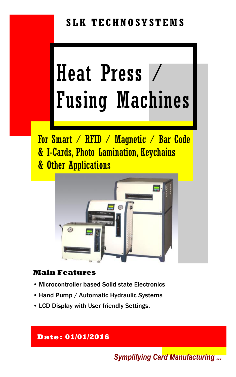## **SLK TECHNOSYSTEMS**

# Heat Press / Fusing Machines

For Smart / RFID / Magnetic / Bar Code & I-Cards, Photo Lamination, Keychains & Other Applications



#### **Main Features**

- Microcontroller based Solid state Electronics
- Hand Pump / Automatic Hydraulic Systems
- LCD Display with User friendly Settings.

#### **Date: 01/01/2016**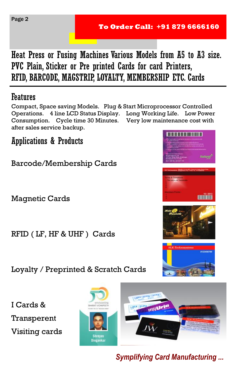Heat Press or Fusing Machines Various Models from A5 to A3 size. PVC Plain, Sticker or Pre printed Cards for card Printers, RFID, BARCODE, MAGSTRIP, LOYALTY, MEMBERSHIP ETC. Cards

## Features

Compact, Space saving Models. Plug & Start Microprocessor Controlled Operations. 4 line LCD Status Display. Long Working Life. Low Power Consumption. Cycle time 30 Minutes. Very low maintenance cost with after sales service backup.

Applications & Products

Barcode/Membership Cards

Magnetic Cards

RFID ( LF, HF & UHF ) Cards

Loyalty / Preprinted & Scratch Cards

I Cards & Transperent Visiting cards









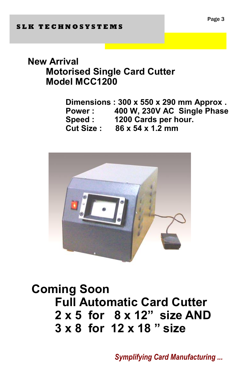## **New Arrival Motorised Single Card Cutter Model MCC1200**

**Dimensions : 300 x 550 x 290 mm Approx . Power : 400 W, 230V AC Single Phase Speed : 1200 Cards per hour. Cut Size : 86 x 54 x 1.2 mm**



# **Coming Soon Full Automatic Card Cutter 2 x 5 for 8 x 12'' size AND 3 x 8 for 12 x 18 '' size**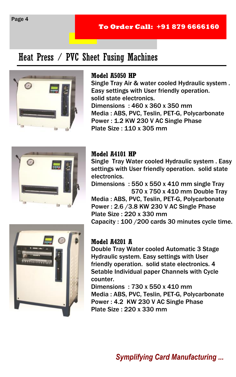#### **To Order Call: +91 879 6666160**

## Heat Press / PVC Sheet Fusing Machines



#### **Model A5050 HP**

Single Tray Air & water cooled Hydraulic system . Easy settings with User friendly operation. solid state electronics. Dimensions : 460 x 360 x 350 mm Media : ABS, PVC, Teslin, PET-G, Polycarbonate Power : 1.2 KW 230 V AC Single Phase Plate Size : 110 x 305 mm



#### **Model A4101 HP**

Single Tray Water cooled Hydraulic system . Easy settings with User friendly operation. solid state electronics.

Dimensions : 550 x 550 x 410 mm single Tray 570 x 750 x 410 mm Double Tray

Media : ABS, PVC, Teslin, PET-G, Polycarbonate Power : 2.6 /3.8 KW 230 V AC Single Phase Plate Size : 220 x 330 mm Capacity : 100 /200 cards 30 minutes cycle time.



#### **Model A4201 A**

Double Tray Water cooled Automatic 3 Stage Hydraulic system. Easy settings with User friendly operation. solid state electronics. 4 Setable Individual paper Channels with Cycle counter.

Dimensions : 730 x 550 x 410 mm Media : ABS, PVC, Teslin, PET-G, Polycarbonate Power : 4.2 KW 230 V AC Single Phase Plate Size : 220 x 330 mm

Page 4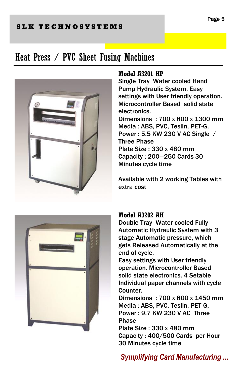#### **S L K T E C H N O S Y S T E M S**

## Heat Press / PVC Sheet Fusing Machines



#### **Model A3201 HP**

Single Tray Water cooled Hand Pump Hydraulic System. Easy settings with User friendly operation. Microcontroller Based solid state electronics. Dimensions : 700 x 800 x 1300 mm Media : ABS, PVC, Teslin, PET-G, Power : 5.5 KW 230 V AC Single / Three Phase Plate Size : 330 x 480 mm Capacity : 200—250 Cards 30 Minutes cycle time

Available with 2 working Tables with extra cost



#### **Model A3202 AH**

Double Tray Water cooled Fully Automatic Hydraulic System with 3 stage Automatic pressure, which gets Released Automatically at the end of cycle.

Easy settings with User friendly operation. Microcontroller Based solid state electronics. 4 Setable Individual paper channels with cycle Counter.

Dimensions : 700 x 800 x 1450 mm Media : ABS, PVC, Teslin, PET-G, Power : 9.7 KW 230 V AC Three Phase

Plate Size : 330 x 480 mm Capacity : 400/500 Cards per Hour 30 Minutes cycle time